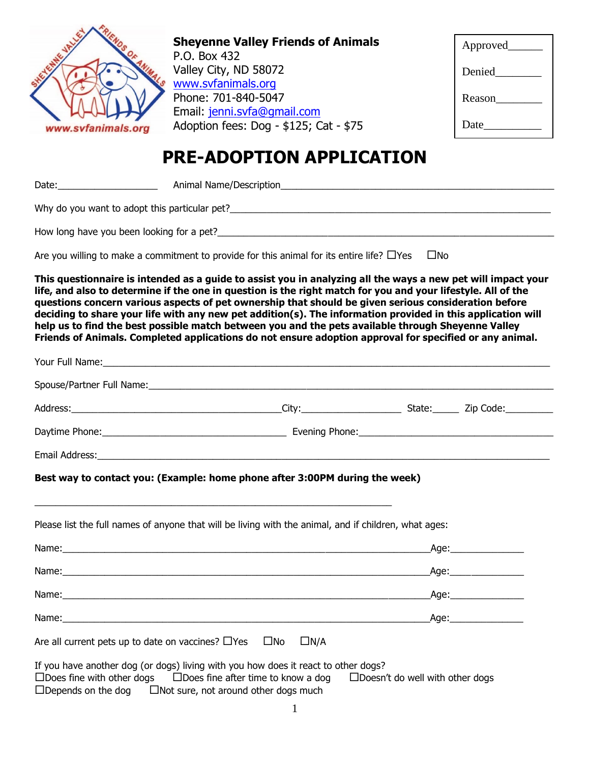

**Sheyenne Valley Friends of Animals** P.O. Box 432 Valley City, ND 58072 [www.svfanimals.org](http://www.svfanimals.org/) Phone: 701-840-5047 Email: [jenni.svfa@gmail.com](mailto:jenni.svfa@gmail.com) Adoption fees: Dog - \$125; Cat - \$75

| Approved___ |  |
|-------------|--|
| Denied      |  |
| Reason      |  |
| Date        |  |
|             |  |

## **PRE-ADOPTION APPLICATION**

Date: The Contract of Animal Name/Description and The Contract of Animal Name/Description

Why do you want to adopt this particular pet?\_\_\_\_\_\_\_\_\_\_\_\_\_\_\_\_\_\_\_\_\_\_\_\_\_\_\_\_\_\_\_\_\_\_\_

How long have you been looking for a pet?

Are you willing to make a commitment to provide for this animal for its entire life?  $\Box$ Yes  $\Box$ No

**This questionnaire is intended as a guide to assist you in analyzing all the ways a new pet will impact your life, and also to determine if the one in question is the right match for you and your lifestyle. All of the questions concern various aspects of pet ownership that should be given serious consideration before deciding to share your life with any new pet addition(s). The information provided in this application will help us to find the best possible match between you and the pets available through Sheyenne Valley Friends of Animals. Completed applications do not ensure adoption approval for specified or any animal.**

| Best way to contact you: (Example: home phone after 3:00PM during the week)                           |  |      |
|-------------------------------------------------------------------------------------------------------|--|------|
|                                                                                                       |  |      |
|                                                                                                       |  |      |
|                                                                                                       |  |      |
|                                                                                                       |  | Age: |
| Please list the full names of anyone that will be living with the animal, and if children, what ages: |  |      |
|                                                                                                       |  |      |
|                                                                                                       |  |      |

 $\Box$ Depends on the dog  $\Box$ Not sure, not around other dogs much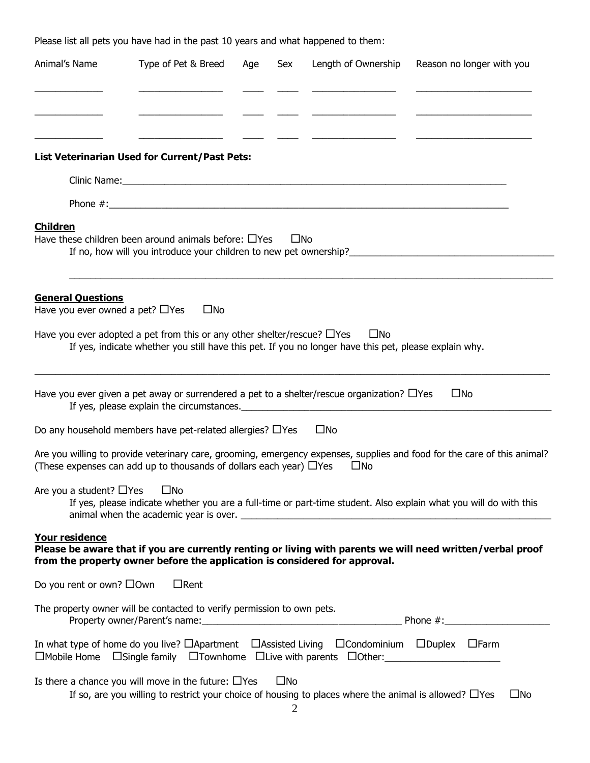Please list all pets you have had in the past 10 years and what happened to them:

| Animal's Name                                                     | Type of Pet & Breed                                                                                                                                                                        | Age | Sex          | Length of Ownership | Reason no longer with you                                                                                                |
|-------------------------------------------------------------------|--------------------------------------------------------------------------------------------------------------------------------------------------------------------------------------------|-----|--------------|---------------------|--------------------------------------------------------------------------------------------------------------------------|
|                                                                   |                                                                                                                                                                                            |     |              |                     |                                                                                                                          |
|                                                                   |                                                                                                                                                                                            |     |              |                     |                                                                                                                          |
|                                                                   | <b>List Veterinarian Used for Current/Past Pets:</b>                                                                                                                                       |     |              |                     |                                                                                                                          |
|                                                                   |                                                                                                                                                                                            |     |              |                     |                                                                                                                          |
|                                                                   |                                                                                                                                                                                            |     |              |                     |                                                                                                                          |
| <b>Children</b>                                                   | Have these children been around animals before: $\Box$ Yes<br>If no, how will you introduce your children to new pet ownership?                                                            |     | $\square$ No |                     |                                                                                                                          |
| <b>General Questions</b><br>Have you ever owned a pet? $\Box$ Yes | $\square$ No                                                                                                                                                                               |     |              |                     |                                                                                                                          |
|                                                                   | Have you ever adopted a pet from this or any other shelter/rescue? $\Box$ Yes<br>If yes, indicate whether you still have this pet. If you no longer have this pet, please explain why.     |     |              | $\square$ No        |                                                                                                                          |
|                                                                   | Have you ever given a pet away or surrendered a pet to a shelter/rescue organization? $\Box$ Yes                                                                                           |     |              |                     | $\square$ No                                                                                                             |
|                                                                   | Do any household members have pet-related allergies? $\Box$ Yes                                                                                                                            |     |              | $\square$ No        |                                                                                                                          |
|                                                                   | (These expenses can add up to thousands of dollars each year) □ Yes                                                                                                                        |     |              | □No                 | Are you willing to provide veterinary care, grooming, emergency expenses, supplies and food for the care of this animal? |
| Are you a student? $\Box$ Yes                                     | $\square$ No                                                                                                                                                                               |     |              |                     | If yes, please indicate whether you are a full-time or part-time student. Also explain what you will do with this        |
| Your residence                                                    | from the property owner before the application is considered for approval.                                                                                                                 |     |              |                     | Please be aware that if you are currently renting or living with parents we will need written/verbal proof               |
| Do you rent or own? $\square$ Own                                 | $\Box$ Rent                                                                                                                                                                                |     |              |                     |                                                                                                                          |
|                                                                   | The property owner will be contacted to verify permission to own pets.                                                                                                                     |     |              |                     |                                                                                                                          |
|                                                                   | In what type of home do you live? $\Box$ Apartment $\Box$ Assisted Living $\Box$ Condominium $\Box$ Duplex $\Box$ Farm<br>□Mobile Home □Single family □Townhome □Live with parents □Other: |     |              |                     |                                                                                                                          |
|                                                                   | Is there a chance you will move in the future: $\Box$ Yes<br>If so, are you willing to restrict your choice of housing to places where the animal is allowed? $\Box$ Yes                   |     | $\square$ No |                     | $\square$ No                                                                                                             |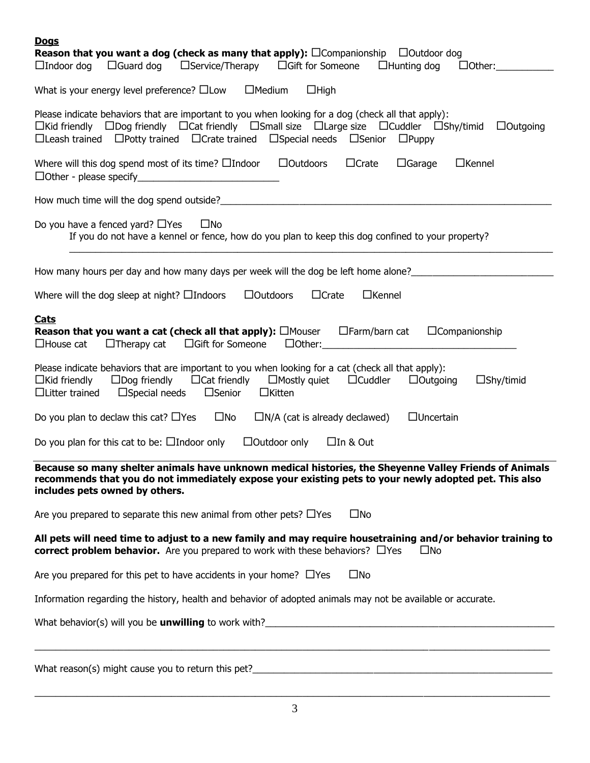| <b>Dogs</b><br><b>Reason that you want a dog (check as many that apply):</b> $\square$ Companionship $\square$ Outdoor dog                                                                                                                                                                                                        |
|-----------------------------------------------------------------------------------------------------------------------------------------------------------------------------------------------------------------------------------------------------------------------------------------------------------------------------------|
| $\Box$ Indoor dog $\Box$ Guard dog $\Box$ Service/Therapy $\Box$ Gift for Someone<br>$\Box$ Hunting dog<br>$\Box$ Other:                                                                                                                                                                                                          |
| What is your energy level preference? $\square$ Low $\square$ Medium<br>$\Box$ High                                                                                                                                                                                                                                               |
| Please indicate behaviors that are important to you when looking for a dog (check all that apply):<br>□Kid friendly □Dog friendly □Cat friendly □Small size □Large size □Cuddler □Shy/timid<br>$\Box$ Outgoing<br>$\Box$ Leash trained $\Box$ Potty trained $\Box$ Crate trained $\Box$ Special needs $\Box$ Senior $\Box$ Puppy  |
| Where will this dog spend most of its time? $\square$ Indoor $\square$ Outdoors<br>$\Box$ Crate<br>$\Box$ Garage<br>$\Box$ Kennel                                                                                                                                                                                                 |
|                                                                                                                                                                                                                                                                                                                                   |
| Do you have a fenced yard? $\Box$ Yes<br>$\square$ No<br>If you do not have a kennel or fence, how do you plan to keep this dog confined to your property?                                                                                                                                                                        |
| How many hours per day and how many days per week will the dog be left home alone?____________________________                                                                                                                                                                                                                    |
| $\Box$ Crate<br>$\Box$ Kennel<br>Where will the dog sleep at night? $\Box$ Indoors<br>$\Box$ Outdoors                                                                                                                                                                                                                             |
| <b>Cats</b><br><b>Reason that you want a cat (check all that apply):</b> $\square$ Mouser $\square$ Farm/barn cat $\square$ Companionship<br>$\Box$ House cat $\Box$ Therapy cat $\Box$ Gift for Someone<br>$\Box$ Other: $\Box$                                                                                                  |
| Please indicate behaviors that are important to you when looking for a cat (check all that apply):<br>$\Box$ Kid friendly $\Box$ Dog friendly $\Box$ Cat friendly $\Box$ Mostly quiet $\Box$ Cuddler<br>$\Box$ Shy/timid<br>$\Box$ Outgoing<br>$\Box$ Special needs<br>$\square$ Senior<br>$\Box$ Litter trained<br>$\Box$ Kitten |
| Do you plan to declaw this cat? $\Box$ Yes $\Box$ No<br>$\Box$ Uncertain<br>$\Box N/A$ (cat is already declawed)                                                                                                                                                                                                                  |
| $\Box$ Outdoor only<br>$\Box$ In & Out<br>Do you plan for this cat to be: $\Box$ Indoor only                                                                                                                                                                                                                                      |
| Because so many shelter animals have unknown medical histories, the Sheyenne Valley Friends of Animals<br>recommends that you do not immediately expose your existing pets to your newly adopted pet. This also<br>includes pets owned by others.                                                                                 |
| $\square$ No<br>Are you prepared to separate this new animal from other pets? $\Box$ Yes                                                                                                                                                                                                                                          |
| All pets will need time to adjust to a new family and may require housetraining and/or behavior training to<br>correct problem behavior. Are you prepared to work with these behaviors? $\Box$ Yes<br>$\square$ No                                                                                                                |
| $\square$ No<br>Are you prepared for this pet to have accidents in your home? $\Box$ Yes                                                                                                                                                                                                                                          |
| Information regarding the history, health and behavior of adopted animals may not be available or accurate.                                                                                                                                                                                                                       |
|                                                                                                                                                                                                                                                                                                                                   |
| What reason(s) might cause you to return this pet?                                                                                                                                                                                                                                                                                |

3  $\_$  ,  $\_$  ,  $\_$  ,  $\_$  ,  $\_$  ,  $\_$  ,  $\_$  ,  $\_$  ,  $\_$  ,  $\_$  ,  $\_$  ,  $\_$  ,  $\_$  ,  $\_$  ,  $\_$  ,  $\_$  ,  $\_$  ,  $\_$  ,  $\_$  ,  $\_$  ,  $\_$  ,  $\_$  ,  $\_$  ,  $\_$  ,  $\_$  ,  $\_$  ,  $\_$  ,  $\_$  ,  $\_$  ,  $\_$  ,  $\_$  ,  $\_$  ,  $\_$  ,  $\_$  ,  $\_$  ,  $\_$  ,  $\_$  ,